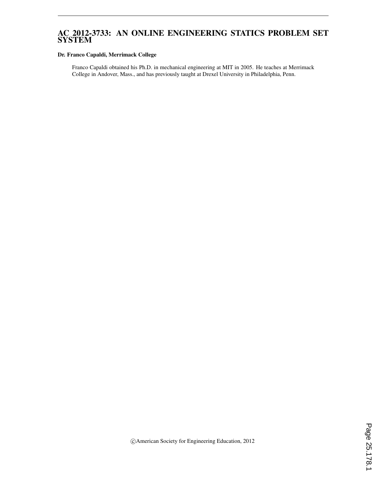## AC 2012-3733: AN ONLINE ENGINEERING STATICS PROBLEM SET SYSTEM

#### Dr. Franco Capaldi, Merrimack College

Franco Capaldi obtained his Ph.D. in mechanical engineering at MIT in 2005. He teaches at Merrimack College in Andover, Mass., and has previously taught at Drexel University in Philadelphia, Penn.

c American Society for Engineering Education, 2012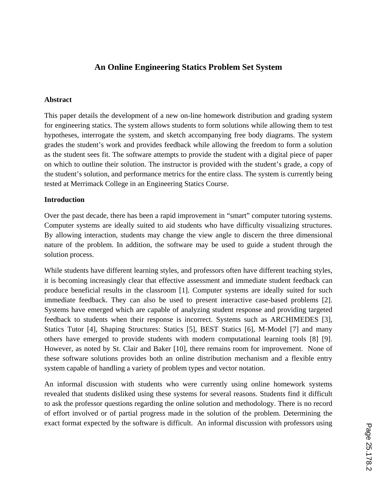# **An Online Engineering Statics Problem Set System**

#### **Abstract**

This paper details the development of a new on-line homework distribution and grading system for engineering statics. The system allows students to form solutions while allowing them to test hypotheses, interrogate the system, and sketch accompanying free body diagrams. The system grades the student's work and provides feedback while allowing the freedom to form a solution as the student sees fit. The software attempts to provide the student with a digital piece of paper on which to outline their solution. The instructor is provided with the student's grade, a copy of the student's solution, and performance metrics for the entire class. The system is currently being tested at Merrimack College in an Engineering Statics Course.

#### **Introduction**

Over the past decade, there has been a rapid improvement in "smart" computer tutoring systems. Computer systems are ideally suited to aid students who have difficulty visualizing structures. By allowing interaction, students may change the view angle to discern the three dimensional nature of the problem. In addition, the software may be used to guide a student through the solution process.

While students have different learning styles, and professors often have different teaching styles, it is becoming increasingly clear that effective assessment and immediate student feedback can produce beneficial results in the classroom [1]. Computer systems are ideally suited for such immediate feedback. They can also be used to present interactive case-based problems [2]. Systems have emerged which are capable of analyzing student response and providing targeted feedback to students when their response is incorrect. Systems such as ARCHIMEDES [3], Statics Tutor [4], Shaping Structures: Statics [5], BEST Statics [6], M-Model [7] and many others have emerged to provide students with modern computational learning tools [8] [9]. However, as noted by St. Clair and Baker [10], there remains room for improvement. None of these software solutions provides both an online distribution mechanism and a flexible entry system capable of handling a variety of problem types and vector notation.

An informal discussion with students who were currently using online homework systems revealed that students disliked using these systems for several reasons. Students find it difficult to ask the professor questions regarding the online solution and methodology. There is no record of effort involved or of partial progress made in the solution of the problem. Determining the exact format expected by the software is difficult. An informal discussion with professors using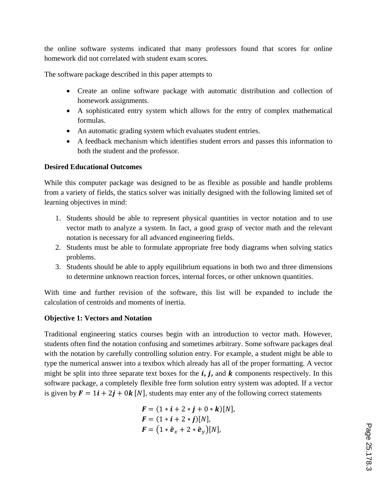the online software systems indicated that many professors found that scores for online homework did not correlated with student exam scores.

The software package described in this paper attempts to

- Create an online software package with automatic distribution and collection of homework assignments.
- A sophisticated entry system which allows for the entry of complex mathematical formulas.
- An automatic grading system which evaluates student entries.
- A feedback mechanism which identifies student errors and passes this information to both the student and the professor.

## **Desired Educational Outcomes**

While this computer package was designed to be as flexible as possible and handle problems from a variety of fields, the statics solver was initially designed with the following limited set of learning objectives in mind:

- 1. Students should be able to represent physical quantities in vector notation and to use vector math to analyze a system. In fact, a good grasp of vector math and the relevant notation is necessary for all advanced engineering fields.
- 2. Students must be able to formulate appropriate free body diagrams when solving statics problems.
- 3. Students should be able to apply equilibrium equations in both two and three dimensions to determine unknown reaction forces, internal forces, or other unknown quantities.

With time and further revision of the software, this list will be expanded to include the calculation of centroids and moments of inertia.

## **Objective 1: Vectors and Notation**

Traditional engineering statics courses begin with an introduction to vector math. However, students often find the notation confusing and sometimes arbitrary. Some software packages deal with the notation by carefully controlling solution entry. For example, a student might be able to type the numerical answer into a textbox which already has all of the proper formatting. A vector might be split into three separate text boxes for the  $\mathbf{i}, \mathbf{j}$ , and  $\mathbf{k}$  components respectively. In this software package, a completely flexible free form solution entry system was adopted. If a vector is given by  $\mathbf{F} = 1\mathbf{i} + 2\mathbf{j} + 0\mathbf{k}$  [N], students may enter any of the following correct statements

$$
F = (1 * i + 2 * j + 0 * k)[N],
$$
  
\n
$$
F = (1 * i + 2 * j)[N],
$$
  
\n
$$
F = (1 * \hat{e}_x + 2 * \hat{e}_y)[N],
$$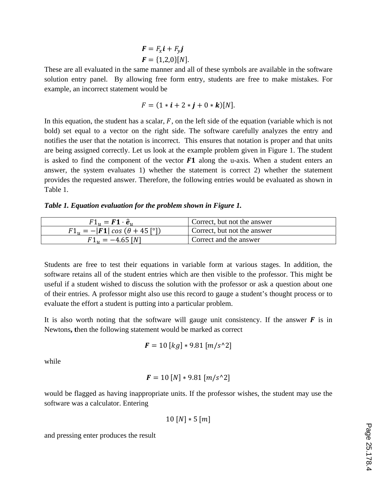$$
F = F_x i + F_y j
$$
  

$$
F = \{1,2,0\}[N].
$$

These are all evaluated in the same manner and all of these symbols are available in the software solution entry panel. By allowing free form entry, students are free to make mistakes. For example, an incorrect statement would be

$$
F = (1 * i + 2 * j + 0 * k)[N].
$$

In this equation, the student has a scalar,  $F$ , on the left side of the equation (variable which is not bold) set equal to a vector on the right side. The software carefully analyzes the entry and notifies the user that the notation is incorrect. This ensures that notation is proper and that units are being assigned correctly. Let us look at the example problem given in Figure 1. The student is asked to find the component of the vector  $F1$  along the u-axis. When a student enters an answer, the system evaluates 1) whether the statement is correct 2) whether the statement provides the requested answer. Therefore, the following entries would be evaluated as shown in Table 1.

*Table 1. Equation evaluation for the problem shown in Figure 1.* 

| $F1_{\nu} = F1 \cdot \hat{e}_{\nu}$           | Correct, but not the answer |
|-----------------------------------------------|-----------------------------|
| $F1_{\nu} = - F1  \cos (\theta + 45 \degree)$ | Correct, but not the answer |
| $F1_u = -4.65$ [N]                            | Correct and the answer      |

Students are free to test their equations in variable form at various stages. In addition, the software retains all of the student entries which are then visible to the professor. This might be useful if a student wished to discuss the solution with the professor or ask a question about one of their entries. A professor might also use this record to gauge a student's thought process or to evaluate the effort a student is putting into a particular problem.

It is also worth noting that the software will gauge unit consistency. If the answer  $\bf{F}$  is in Newtons**, t**hen the following statement would be marked as correct

$$
F = 10 [kg] * 9.81 [m/s^2]
$$

while

$$
F = 10 [N] * 9.81 [m/s^2]
$$

would be flagged as having inappropriate units. If the professor wishes, the student may use the software was a calculator. Entering

$$
10\left[N\right]*5\left[m\right]
$$

and pressing enter produces the result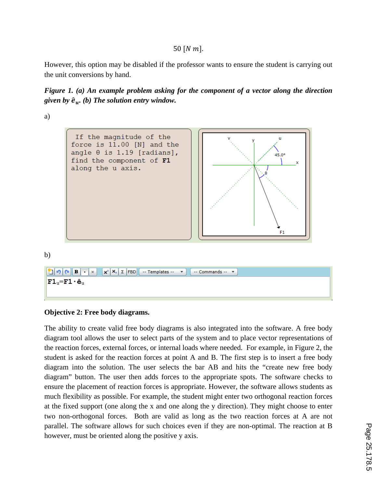50  $[N \, m]$ .

However, this option may be disabled if the professor wants to ensure the student is carrying out the unit conversions by hand.



a)



b)



## **Objective 2: Free body diagrams.**

The ability to create valid free body diagrams is also integrated into the software. A free body diagram tool allows the user to select parts of the system and to place vector representations of the reaction forces, external forces, or internal loads where needed. For example, in Figure 2, the student is asked for the reaction forces at point A and B. The first step is to insert a free body diagram into the solution. The user selects the bar AB and hits the "create new free body diagram" button. The user then adds forces to the appropriate spots. The software checks to ensure the placement of reaction forces is appropriate. However, the software allows students as much flexibility as possible. For example, the student might enter two orthogonal reaction forces at the fixed support (one along the x and one along the y direction). They might choose to enter two non-orthogonal forces. Both are valid as long as the two reaction forces at A are not parallel. The software allows for such choices even if they are non-optimal. The reaction at B however, must be oriented along the positive y axis.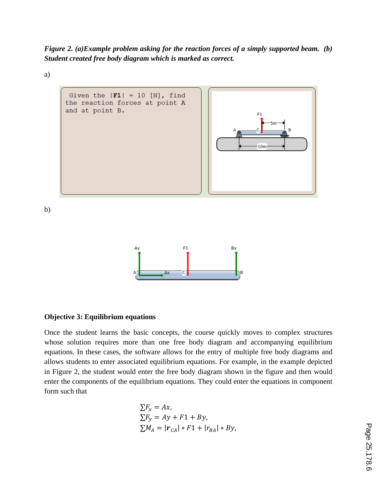*Figure 2. (a)Example problem asking for the reaction forces of a simply supported beam. (b) Student created free body diagram which is marked as correct.* 

a)





#### **Objective 3: Equilibrium equations**

Once the student learns the basic concepts, the course quickly moves to complex structures whose solution requires more than one free body diagram and accompanying equilibrium equations. In these cases, the software allows for the entry of multiple free body diagrams and allows students to enter associated equilibrium equations. For example, in the example depicted in Figure 2, the student would enter the free body diagram shown in the figure and then would enter the components of the equilibrium equations. They could enter the equations in component form such that

$$
\sum F_x = Ax,
$$
  
\n
$$
\sum F_y = Ay + F1 + By,
$$
  
\n
$$
\sum M_A = |\mathbf{r}_{CA}| * F1 + |r_{BA}| * By,
$$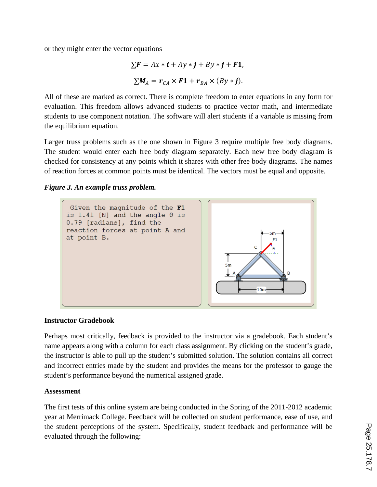or they might enter the vector equations

$$
\sum \mathbf{F} = A x \cdot \mathbf{i} + A y \cdot \mathbf{j} + B y \cdot \mathbf{j} + \mathbf{F} \mathbf{1},
$$
  

$$
\sum M_A = r_{CA} \times \mathbf{F} \mathbf{1} + r_{BA} \times (B y \cdot \mathbf{j}).
$$

All of these are marked as correct. There is complete freedom to enter equations in any form for evaluation. This freedom allows advanced students to practice vector math, and intermediate students to use component notation. The software will alert students if a variable is missing from the equilibrium equation.

Larger truss problems such as the one shown in Figure 3 require multiple free body diagrams. The student would enter each free body diagram separately. Each new free body diagram is checked for consistency at any points which it shares with other free body diagrams. The names of reaction forces at common points must be identical. The vectors must be equal and opposite.

### *Figure 3. An example truss problem.*



### **Instructor Gradebook**

Perhaps most critically, feedback is provided to the instructor via a gradebook. Each student's name appears along with a column for each class assignment. By clicking on the student's grade, the instructor is able to pull up the student's submitted solution. The solution contains all correct and incorrect entries made by the student and provides the means for the professor to gauge the student's performance beyond the numerical assigned grade.

## **Assessment**

The first tests of this online system are being conducted in the Spring of the 2011-2012 academic year at Merrimack College. Feedback will be collected on student performance, ease of use, and the student perceptions of the system. Specifically, student feedback and performance will be evaluated through the following: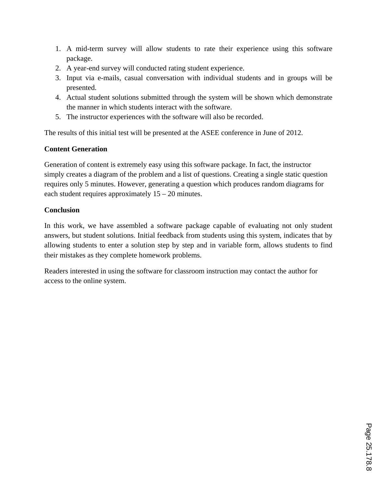- 1. A mid-term survey will allow students to rate their experience using this software package.
- 2. A year-end survey will conducted rating student experience.
- 3. Input via e-mails, casual conversation with individual students and in groups will be presented.
- 4. Actual student solutions submitted through the system will be shown which demonstrate the manner in which students interact with the software.
- 5. The instructor experiences with the software will also be recorded.

The results of this initial test will be presented at the ASEE conference in June of 2012.

## **Content Generation**

Generation of content is extremely easy using this software package. In fact, the instructor simply creates a diagram of the problem and a list of questions. Creating a single static question requires only 5 minutes. However, generating a question which produces random diagrams for each student requires approximately 15 – 20 minutes.

## **Conclusion**

In this work, we have assembled a software package capable of evaluating not only student answers, but student solutions. Initial feedback from students using this system, indicates that by allowing students to enter a solution step by step and in variable form, allows students to find their mistakes as they complete homework problems.

Readers interested in using the software for classroom instruction may contact the author for access to the online system.